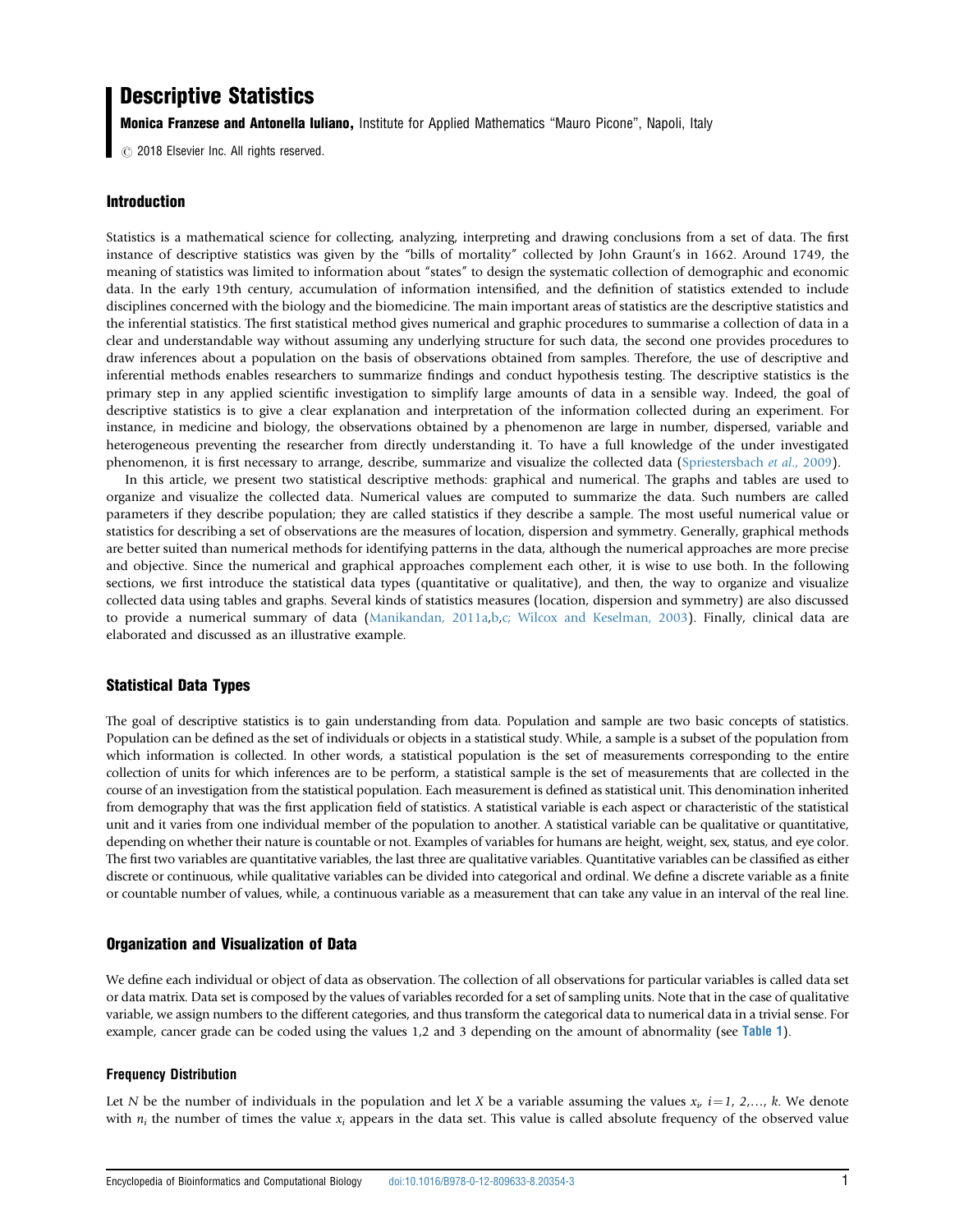# Descriptive Statistics

Monica Franzese and Antonella Iuliano, Institute for Applied Mathematics "Mauro Picone", Napoli, Italy

 $\odot$  2018 Elsevier Inc. All rights reserved.

## Introduction

Statistics is a mathematical science for collecting, analyzing, interpreting and drawing conclusions from a set of data. The first instance of descriptive statistics was given by the "bills of mortality" collected by John Graunt's in 1662. Around 1749, the meaning of statistics was limited to information about "states" to design the systematic collection of demographic and economic data. In the early 19th century, accumulation of information intensified, and the definition of statistics extended to include disciplines concerned with the biology and the biomedicine. The main important areas of statistics are the descriptive statistics and the inferential statistics. The first statistical method gives numerical and graphic procedures to summarise a collection of data in a clear and understandable way without assuming any underlying structure for such data, the second one provides procedures to draw inferences about a population on the basis of observations obtained from samples. Therefore, the use of descriptive and inferential methods enables researchers to summarize findings and conduct hypothesis testing. The descriptive statistics is the primary step in any applied scientific investigation to simplify large amounts of data in a sensible way. Indeed, the goal of descriptive statistics is to give a clear explanation and interpretation of the information collected during an experiment. For instance, in medicine and biology, the observations obtained by a phenomenon are large in number, dispersed, variable and heterogeneous preventing the researcher from directly understanding it. To have a full knowledge of the under investigated phenomenon, it is first necessary to arrange, describe, summarize and visualize the collected data [\(Spriestersbach](#page-12-0) et al., 2009).

In this article, we present two statistical descriptive methods: graphical and numerical. The graphs and tables are used to organize and visualize the collected data. Numerical values are computed to summarize the data. Such numbers are called parameters if they describe population; they are called statistics if they describe a sample. The most useful numerical value or statistics for describing a set of observations are the measures of location, dispersion and symmetry. Generally, graphical methods are better suited than numerical methods for identifying patterns in the data, although the numerical approaches are more precise and objective. Since the numerical and graphical approaches complement each other, it is wise to use both. In the following sections, we first introduce the statistical data types (quantitative or qualitative), and then, the way to organize and visualize collected data using tables and graphs. Several kinds of statistics measures (location, dispersion and symmetry) are also discussed to provide a numerical summary of data ([Manikandan, 2011a,b,c; Wilcox and Keselman, 2003\)](#page-12-0). Finally, clinical data are elaborated and discussed as an illustrative example.

# Statistical Data Types

The goal of descriptive statistics is to gain understanding from data. Population and sample are two basic concepts of statistics. Population can be defined as the set of individuals or objects in a statistical study. While, a sample is a subset of the population from which information is collected. In other words, a statistical population is the set of measurements corresponding to the entire collection of units for which inferences are to be perform, a statistical sample is the set of measurements that are collected in the course of an investigation from the statistical population. Each measurement is defined as statistical unit. This denomination inherited from demography that was the first application field of statistics. A statistical variable is each aspect or characteristic of the statistical unit and it varies from one individual member of the population to another. A statistical variable can be qualitative or quantitative, depending on whether their nature is countable or not. Examples of variables for humans are height, weight, sex, status, and eye color. The first two variables are quantitative variables, the last three are qualitative variables. Quantitative variables can be classified as either discrete or continuous, while qualitative variables can be divided into categorical and ordinal. We define a discrete variable as a finite or countable number of values, while, a continuous variable as a measurement that can take any value in an interval of the real line.

#### Organization and Visualization of Data

We define each individual or object of data as observation. The collection of all observations for particular variables is called data set or data matrix. Data set is composed by the values of variables recorded for a set of sampling units. Note that in the case of qualitative variable, we assign numbers to the different categories, and thus transform the categorical data to numerical data in a trivial sense. For example, cancer grade can be coded using the values 1,2 and 3 depending on the amount of abnormality (see [Table 1](#page-1-0)).

### Frequency Distribution

Let N be the number of individuals in the population and let X be a variable assuming the values  $x_i$ ,  $i = 1, 2, \ldots, k$ . We denote with  $n_i$  the number of times the value  $x_i$  appears in the data set. This value is called absolute frequency of the observed value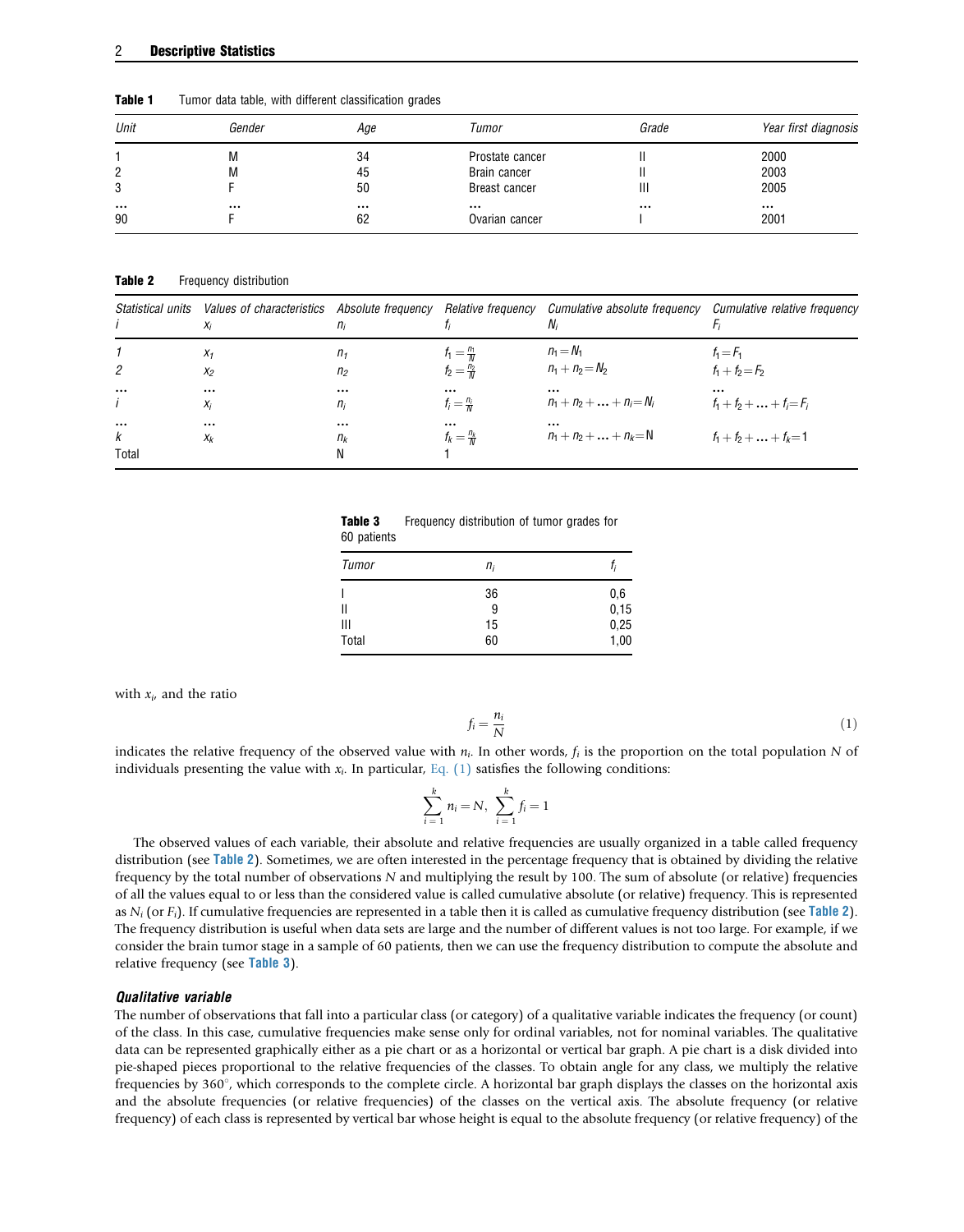| Unit           | Gender   | Age            | Tumor                      | Grade    | Year first diagnosis |
|----------------|----------|----------------|----------------------------|----------|----------------------|
|                | M        | 34             | Prostate cancer            |          | 2000                 |
| 2              | M        | 45             | Brain cancer               |          | 2003                 |
| 3              |          | 50             | <b>Breast cancer</b>       |          | 2005                 |
| $\cdots$<br>90 | $\cdots$ | $\cdots$<br>62 | $\cdots$<br>Ovarian cancer | $\cdots$ | $\cdots$<br>2001     |

<span id="page-1-0"></span>Table 1 Tumor data table, with different classification grades

#### Table 2 Frequency distribution

| Statistical units      | $X_i$             | $n_i$                  |                                   | Values of characteristics Absolute frequency Relative frequency Cumulative absolute frequency<br>N, | Cumulative relative frequency    |
|------------------------|-------------------|------------------------|-----------------------------------|-----------------------------------------------------------------------------------------------------|----------------------------------|
|                        | $X_1$             | n <sub>1</sub>         | $f_1 = \frac{n_1}{N}$             | $n_1 = N_1$                                                                                         | $f_1 = F_1$                      |
|                        | $X_2$             | n <sub>2</sub>         | $f_2 = \frac{n_2}{N}$             | $n_1 + n_2 = N_2$                                                                                   | $f_1 + f_2 = F_2$                |
| $\cdots$               | $\cdots$          | $\cdots$               | $\cdots$                          | $\cdots$                                                                                            | $\cdots$                         |
|                        | $X_i$             | $n_i$                  | $f_i = \frac{\eta_i}{M}$          | $n_1 + n_2 + \ldots + n_i = N_i$                                                                    | $f_1 + f_2 + \ldots + f_i = F_i$ |
| $\cdots$<br>k<br>Total | $\cdots$<br>$X_k$ | $\cdots$<br>$n_k$<br>N | $\cdots$<br>$f_k = \frac{n_k}{N}$ | $\cdots$<br>$n_1 + n_2 + \ldots + n_k = N$                                                          | $f_1 + f_2 + \ldots + f_k = 1$   |

| Table 3     | Frequency distribution of tumor grades for |  |  |
|-------------|--------------------------------------------|--|--|
| 60 patients |                                            |  |  |

| Tumor | $n_i$ | t,              |
|-------|-------|-----------------|
|       | 36    |                 |
| Ш     | 9     | $0,6$<br>$0,15$ |
| Ш     | 15    | 0,25            |
| Total | 60    | 1,00            |

with  $x_i$ , and the ratio

$$
f_i = \frac{n_i}{N} \tag{1}
$$

indicates the relative frequency of the observed value with  $n_i$ . In other words,  $f_i$  is the proportion on the total population N of individuals presenting the value with  $x_i$ . In particular, Eq. (1) satisfies the following conditions:

$$
\sum_{i=1}^{k} n_i = N, \ \sum_{i=1}^{k} f_i = 1
$$

The observed values of each variable, their absolute and relative frequencies are usually organized in a table called frequency distribution (see Table 2). Sometimes, we are often interested in the percentage frequency that is obtained by dividing the relative frequency by the total number of observations N and multiplying the result by 100. The sum of absolute (or relative) frequencies of all the values equal to or less than the considered value is called cumulative absolute (or relative) frequency. This is represented as  $N_i$  (or  $F_i$ ). If cumulative frequencies are represented in a table then it is called as cumulative frequency distribution (see Table 2). The frequency distribution is useful when data sets are large and the number of different values is not too large. For example, if we consider the brain tumor stage in a sample of 60 patients, then we can use the frequency distribution to compute the absolute and relative frequency (see Table 3).

#### Qualitative variable

The number of observations that fall into a particular class (or category) of a qualitative variable indicates the frequency (or count) of the class. In this case, cumulative frequencies make sense only for ordinal variables, not for nominal variables. The qualitative data can be represented graphically either as a pie chart or as a horizontal or vertical bar graph. A pie chart is a disk divided into pie-shaped pieces proportional to the relative frequencies of the classes. To obtain angle for any class, we multiply the relative frequencies by 360°, which corresponds to the complete circle. A horizontal bar graph displays the classes on the horizontal axis and the absolute frequencies (or relative frequencies) of the classes on the vertical axis. The absolute frequency (or relative frequency) of each class is represented by vertical bar whose height is equal to the absolute frequency (or relative frequency) of the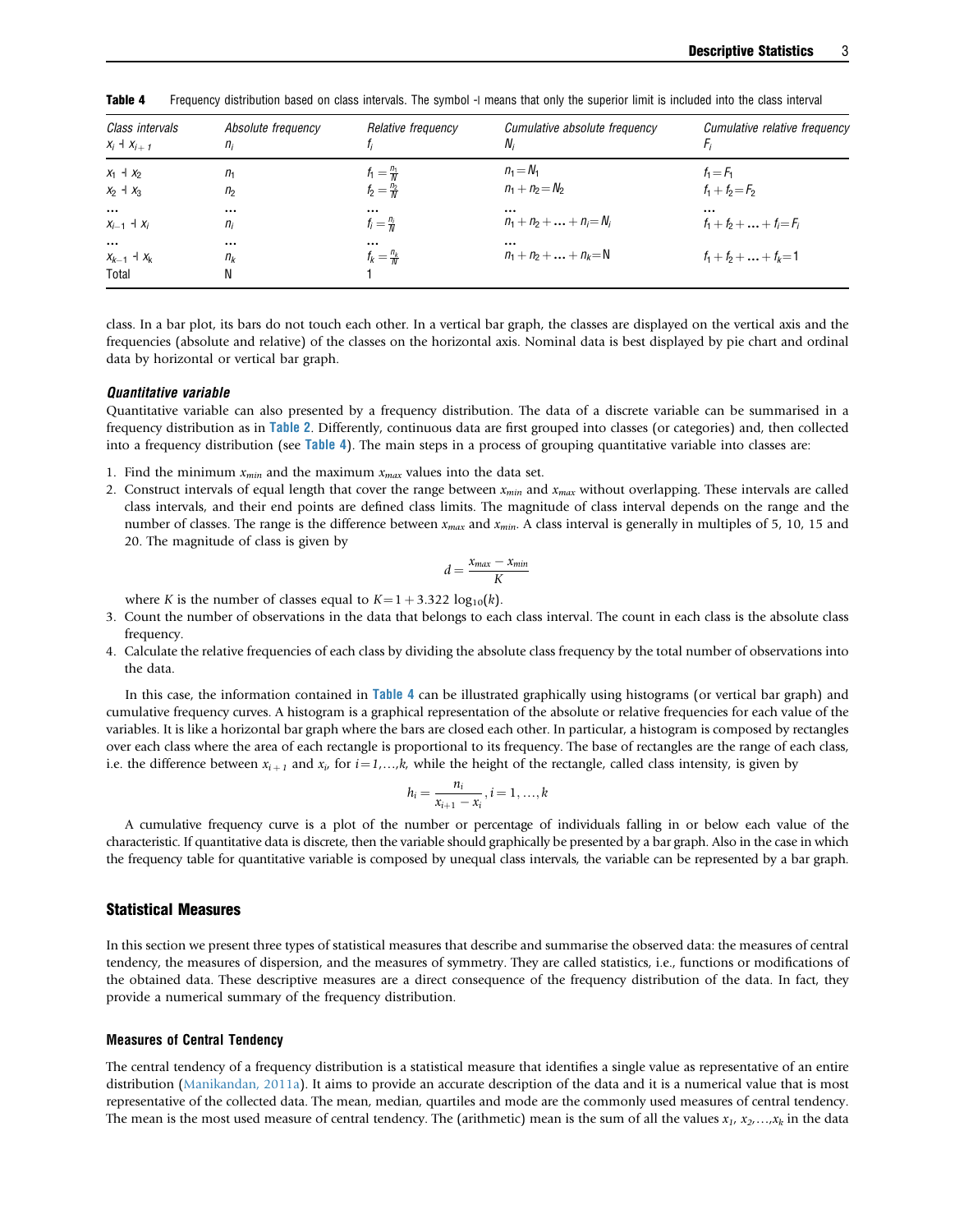| Class intervals                        | Absolute frequency       | Relative frequency                | Cumulative absolute frequency        | Cumulative relative frequency    |
|----------------------------------------|--------------------------|-----------------------------------|--------------------------------------|----------------------------------|
| $X_i$ + $X_{i+1}$                      | $n_i$                    |                                   | $N_i$                                | Η,                               |
| $x_1 + x_2$                            | n <sub>1</sub>           | $f_1 = \frac{n_1}{N}$             | $n_1 = N_1$                          | $f_1 = F_1$                      |
| $x_2 + x_3$                            | n <sub>2</sub>           | $f_2 = \frac{n_2}{N}$             | $n_1 + n_2 = N_2$                    | $f_1 + f_2 = F_2$                |
| $\cdots$                               | $\cdots$                 | $\cdots$                          | $\cdots$                             | $\cdots$                         |
| $X_{i-1} + X_i$                        | $n_i$                    | $f_i = \frac{n_i}{N}$             | $n_1 + n_2 + \ldots + n_i = N_i$     | $f_1 + f_2 + \ldots + f_i = F_i$ |
| $\cdots$<br>$X_{k-1}$ + $X_k$<br>Total | $\cdots$<br>$n_{k}$<br>N | $\cdots$<br>$f_k = \frac{n_k}{N}$ | $\cdots$<br>$n_1 + n_2 +  + n_k = N$ | $f_1 + f_2 + \ldots + f_k = 1$   |

<span id="page-2-0"></span>Table 4 Frequency distribution based on class intervals. The symbol -I means that only the superior limit is included into the class interval

class. In a bar plot, its bars do not touch each other. In a vertical bar graph, the classes are displayed on the vertical axis and the frequencies (absolute and relative) of the classes on the horizontal axis. Nominal data is best displayed by pie chart and ordinal data by horizontal or vertical bar graph.

#### Quantitative variable

Quantitative variable can also presented by a frequency distribution. The data of a discrete variable can be summarised in a frequency distribution as in [Table 2](#page-1-0). Differently, continuous data are first grouped into classes (or categories) and, then collected into a frequency distribution (see Table 4). The main steps in a process of grouping quantitative variable into classes are:

- 1. Find the minimum  $x_{min}$  and the maximum  $x_{max}$  values into the data set.
- 2. Construct intervals of equal length that cover the range between  $x_{min}$  and  $x_{max}$  without overlapping. These intervals are called class intervals, and their end points are defined class limits. The magnitude of class interval depends on the range and the number of classes. The range is the difference between  $x_{max}$  and  $x_{min}$ . A class interval is generally in multiples of 5, 10, 15 and 20. The magnitude of class is given by

$$
d = \frac{x_{max} - x_{min}}{K}
$$

where K is the number of classes equal to  $K=1+3.322 \log_{10}(k)$ .

- 3. Count the number of observations in the data that belongs to each class interval. The count in each class is the absolute class frequency.
- 4. Calculate the relative frequencies of each class by dividing the absolute class frequency by the total number of observations into the data.

In this case, the information contained in [Table 4](#page-1-0) can be illustrated graphically using histograms (or vertical bar graph) and cumulative frequency curves. A histogram is a graphical representation of the absolute or relative frequencies for each value of the variables. It is like a horizontal bar graph where the bars are closed each other. In particular, a histogram is composed by rectangles over each class where the area of each rectangle is proportional to its frequency. The base of rectangles are the range of each class, i.e. the difference between  $x_{i+1}$  and  $x_i$ , for  $i=1,...,k$ , while the height of the rectangle, called class intensity, is given by

$$
h_i = \frac{n_i}{x_{i+1} - x_i}, i = 1, ..., k
$$

A cumulative frequency curve is a plot of the number or percentage of individuals falling in or below each value of the characteristic. If quantitative data is discrete, then the variable should graphically be presented by a bar graph. Also in the case in which the frequency table for quantitative variable is composed by unequal class intervals, the variable can be represented by a bar graph.

# Statistical Measures

In this section we present three types of statistical measures that describe and summarise the observed data: the measures of central tendency, the measures of dispersion, and the measures of symmetry. They are called statistics, i.e., functions or modifications of the obtained data. These descriptive measures are a direct consequence of the frequency distribution of the data. In fact, they provide a numerical summary of the frequency distribution.

#### Measures of Central Tendency

The central tendency of a frequency distribution is a statistical measure that identifies a single value as representative of an entire distribution ([Manikandan, 2011a](#page-12-0)). It aims to provide an accurate description of the data and it is a numerical value that is most representative of the collected data. The mean, median, quartiles and mode are the commonly used measures of central tendency. The mean is the most used measure of central tendency. The (arithmetic) mean is the sum of all the values  $x_1, x_2, ..., x_k$  in the data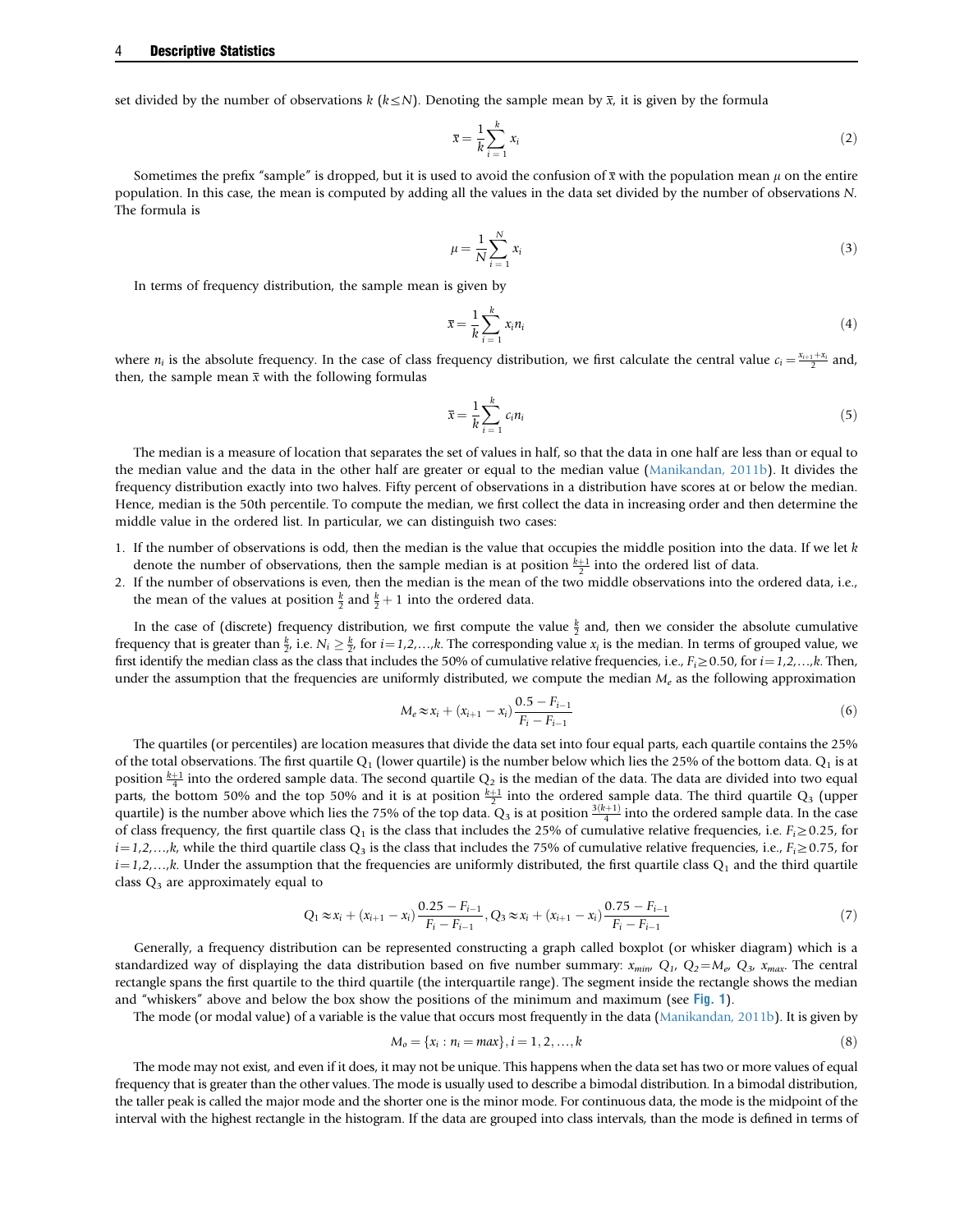<span id="page-3-0"></span>set divided by the number of observations k ( $k \leq N$ ). Denoting the sample mean by  $\bar{x}$ , it is given by the formula

$$
\bar{x} = \frac{1}{k} \sum_{i=1}^{k} x_i
$$
\n<sup>(2)</sup>

Sometimes the prefix "sample" is dropped, but it is used to avoid the confusion of  $\bar{x}$  with the population mean  $\mu$  on the entire population. In this case, the mean is computed by adding all the values in the data set divided by the number of observations N. The formula is

$$
\mu = \frac{1}{N} \sum_{i=1}^{N} x_i
$$
\n(3)

In terms of frequency distribution, the sample mean is given by

$$
\bar{x} = \frac{1}{k} \sum_{i=1}^{k} x_i n_i \tag{4}
$$

where  $n_i$  is the absolute frequency. In the case of class frequency distribution, we first calculate the central value  $c_i = \frac{x_{i+1} + x_i}{2}$  and, then, the sample mean  $\bar{x}$  with the following formulas

$$
\bar{x} = \frac{1}{k} \sum_{i=1}^{k} c_i n_i \tag{5}
$$

The median is a measure of location that separates the set of values in half, so that the data in one half are less than or equal to the median value and the data in the other half are greater or equal to the median value [\(Manikandan, 2011b](#page-12-0)). It divides the frequency distribution exactly into two halves. Fifty percent of observations in a distribution have scores at or below the median. Hence, median is the 50th percentile. To compute the median, we first collect the data in increasing order and then determine the middle value in the ordered list. In particular, we can distinguish two cases:

- 1. If the number of observations is odd, then the median is the value that occupies the middle position into the data. If we let k denote the number of observations, then the sample median is at position  $\frac{k+1}{2}$  into the ordered list of data.
- 2. If the number of observations is even, then the median is the mean of the two middle observations into the ordered data, i.e., the mean of the values at position  $\frac{k}{2}$  and  $\frac{k}{2} + 1$  into the ordered data.

In the case of (discrete) frequency distribution, we first compute the value  $\frac{k}{2}$  and, then we consider the absolute cumulative frequency that is greater than  $\frac{h}{2}$ , i.e.  $N_i \geq \frac{h}{2}$ , for  $i = 1, 2, ..., k$ . The corresponding value  $x_i$  is the median. In terms of grouped value, we first identify the median close as the close that includes the 50% first identify the median class as the class that includes the 50% of cumulative relative frequencies, i.e.,  $F_i \ge 0.50$ , for  $i = 1,2,...,k$ . Then, under the assumption that the frequencies are uniformly distributed, we compute the median  $M_e$  as the following approximation

$$
M_e \approx x_i + (x_{i+1} - x_i) \frac{0.5 - F_{i-1}}{F_i - F_{i-1}}
$$
\n(6)

The quartiles (or percentiles) are location measures that divide the data set into four equal parts, each quartile contains the 25% of the total observations. The first quartile  $Q_1$  (lower quartile) is the number below which lies the 25% of the bottom data.  $Q_1$  is at position  $\frac{k+1}{4}$  into the ordered sample data. The second quartile  $Q_2$  is the median of the data. The data are divided into two equal parts, the bottom 50% and the top 50% and it is at position  $\frac{k+1}{2}$  into the ordered sample data. The third quartile Q<sub>3</sub> (upper quartile) is the number above which lies the 75% of the top data.  $Q_3$  is at position  $\frac{3(k+1)}{4}$  into the ordered sample data. In the case of class frequency, the first quartile class  $Q_1$  is the class that includes the 25% of cumulative relative frequencies, i.e.  $F_i \ge 0.25$ , for  $i=1,2,...,k$ , while the third quartile class  $Q_3$  is the class that includes the 75% of cumulative relative frequencies, i.e.,  $F_i \geq 0.75$ , for  $i=1,2,...,k$ . Under the assumption that the frequencies are uniformly distributed, the first quartile class  $Q_1$  and the third quartile class  $Q_3$  are approximately equal to

$$
Q_1 \approx x_i + (x_{i+1} - x_i) \frac{0.25 - F_{i-1}}{F_i - F_{i-1}}, Q_3 \approx x_i + (x_{i+1} - x_i) \frac{0.75 - F_{i-1}}{F_i - F_{i-1}}
$$
(7)

Generally, a frequency distribution can be represented constructing a graph called boxplot (or whisker diagram) which is a standardized way of displaying the data distribution based on five number summary:  $x_{min}$ ,  $Q_1$ ,  $Q_2=M_{e}$ ,  $Q_3$ ,  $x_{max}$ . The central rectangle spans the first quartile to the third quartile (the interquartile range). The segment inside the rectangle shows the median and "whiskers" above and below the box show the positions of the minimum and maximum (see [Fig. 1](#page-4-0)).

The mode (or modal value) of a variable is the value that occurs most frequently in the data [\(Manikandan, 2011b\)](#page-12-0). It is given by

$$
M_o = \{x_i : n_i = max\}, i = 1, 2, ..., k
$$
\n(8)

The mode may not exist, and even if it does, it may not be unique. This happens when the data set has two or more values of equal frequency that is greater than the other values. The mode is usually used to describe a bimodal distribution. In a bimodal distribution, the taller peak is called the major mode and the shorter one is the minor mode. For continuous data, the mode is the midpoint of the interval with the highest rectangle in the histogram. If the data are grouped into class intervals, than the mode is defined in terms of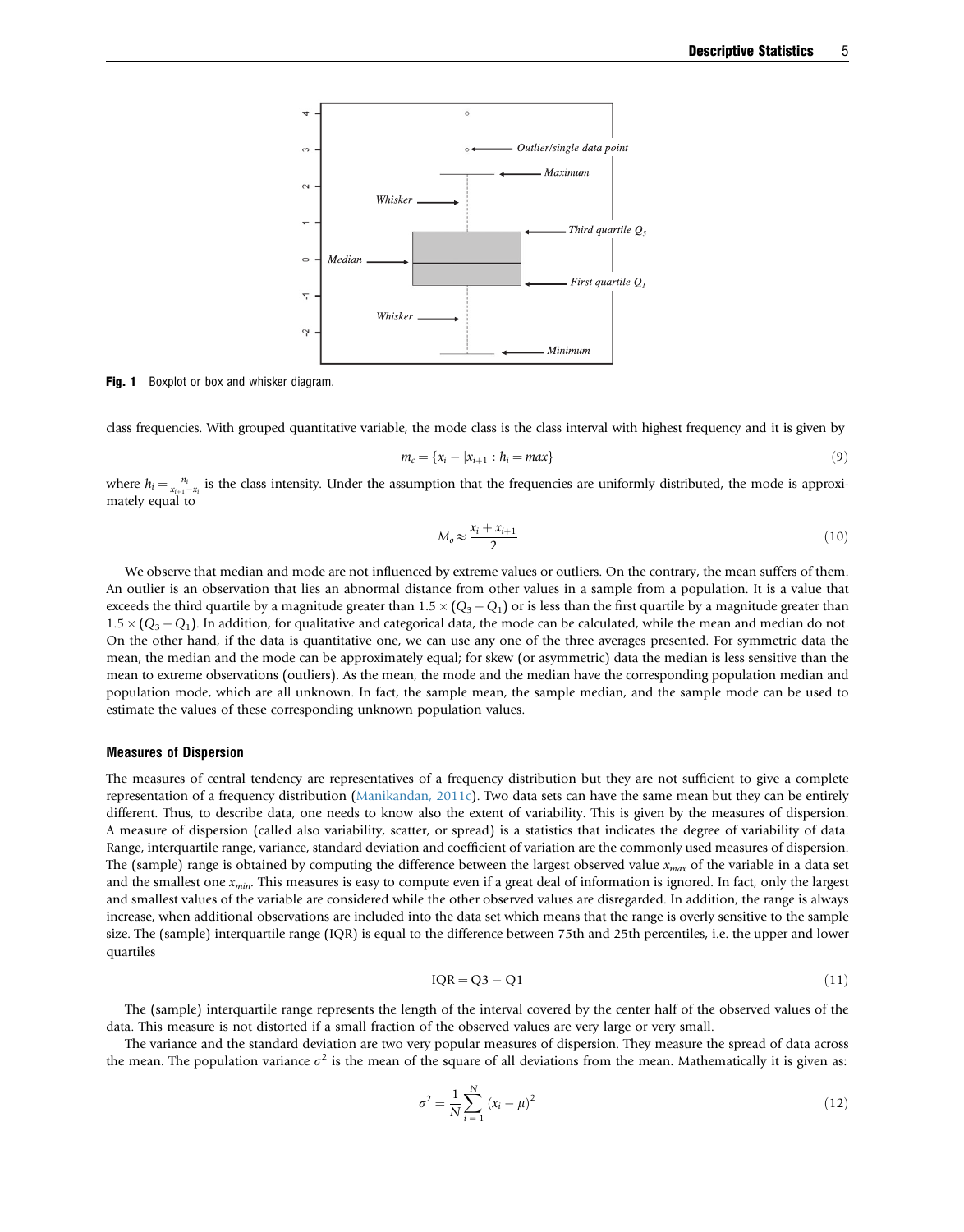<span id="page-4-0"></span>

Fig. 1 Boxplot or box and whisker diagram.

class frequencies. With grouped quantitative variable, the mode class is the class interval with highest frequency and it is given by

$$
m_c = \{x_i - |x_{i+1} : h_i = max\}
$$
 (9)

where  $h_i = \frac{n_i}{x_{i+1} - x_i}$  is the class intensity. Under the assumption that the frequencies are uniformly distributed, the mode is approxiwhere  $n_i = \frac{x_{i+1}-x_i}{x_{i+1}-x_i}$ 

$$
M_o \approx \frac{x_i + x_{i+1}}{2} \tag{10}
$$

We observe that median and mode are not influenced by extreme values or outliers. On the contrary, the mean suffers of them. An outlier is an observation that lies an abnormal distance from other values in a sample from a population. It is a value that exceeds the third quartile by a magnitude greater than  $1.5 \times (Q_3 - Q_1)$  or is less than the first quartile by a magnitude greater than  $1.5 \times (Q_2 - Q_1)$  in addition, for qualitative and categorical data, the mode can be ca  $1.5 \times (Q_3 - Q_1)$ . In addition, for qualitative and categorical data, the mode can be calculated, while the mean and median do not.<br>On the other hand, if the data is quantitative one, we can use any one of the three averag On the other hand, if the data is quantitative one, we can use any one of the three averages presented. For symmetric data the mean, the median and the mode can be approximately equal; for skew (or asymmetric) data the median is less sensitive than the mean to extreme observations (outliers). As the mean, the mode and the median have the corresponding population median and population mode, which are all unknown. In fact, the sample mean, the sample median, and the sample mode can be used to estimate the values of these corresponding unknown population values.

#### Measures of Dispersion

The measures of central tendency are representatives of a frequency distribution but they are not sufficient to give a complete representation of a frequency distribution [\(Manikandan, 2011c](#page-12-0)). Two data sets can have the same mean but they can be entirely different. Thus, to describe data, one needs to know also the extent of variability. This is given by the measures of dispersion. A measure of dispersion (called also variability, scatter, or spread) is a statistics that indicates the degree of variability of data. Range, interquartile range, variance, standard deviation and coefficient of variation are the commonly used measures of dispersion. The (sample) range is obtained by computing the difference between the largest observed value  $x_{max}$  of the variable in a data set and the smallest one  $x_{min}$ . This measures is easy to compute even if a great deal of information is ignored. In fact, only the largest and smallest values of the variable are considered while the other observed values are disregarded. In addition, the range is always increase, when additional observations are included into the data set which means that the range is overly sensitive to the sample size. The (sample) interquartile range (IQR) is equal to the difference between 75th and 25th percentiles, i.e. the upper and lower quartiles

$$
IQR = Q3 - Q1 \tag{11}
$$

The (sample) interquartile range represents the length of the interval covered by the center half of the observed values of the data. This measure is not distorted if a small fraction of the observed values are very large or very small.

The variance and the standard deviation are two very popular measures of dispersion. They measure the spread of data across the mean. The population variance  $\sigma^2$  is the mean of the square of all deviations from the mean. Mathematically it is given as:

$$
\sigma^2 = \frac{1}{N} \sum_{i=1}^{N} (x_i - \mu)^2
$$
 (12)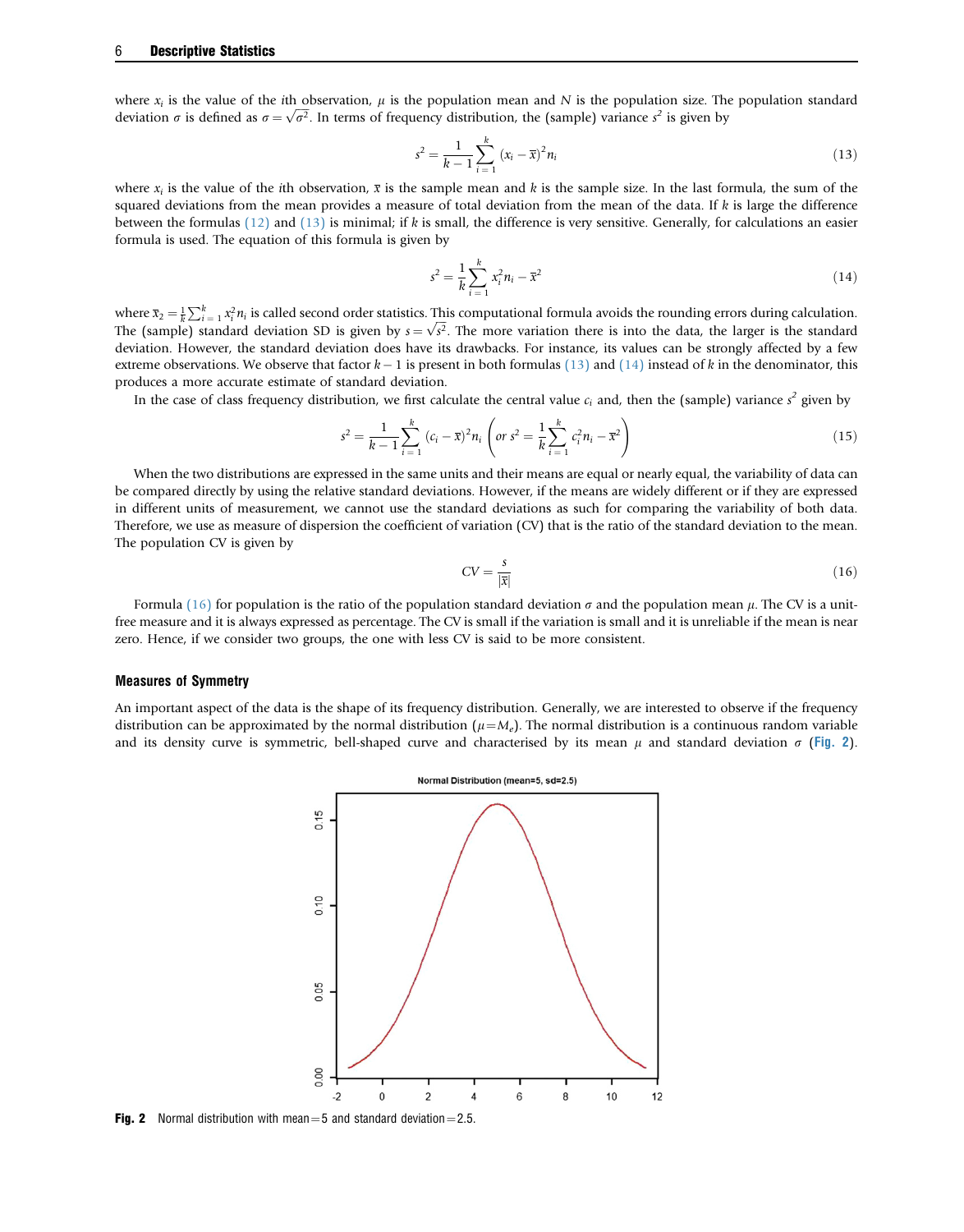<span id="page-5-0"></span>where  $x_i$  is the value of the *i*th observation,  $\mu$  is the population mean and N is the population size. The population standard deviation  $\sigma$  is defined as  $\sigma = \sqrt{\sigma^2}$ . In terms of frequency distribution, the (sample) variance  $s^2$  is given by

$$
s^{2} = \frac{1}{k-1} \sum_{i=1}^{k} (x_{i} - \bar{x})^{2} n_{i}
$$
 (13)

where  $x_i$  is the value of the *i*th observation,  $\bar{x}$  is the sample mean and k is the sample size. In the last formula, the sum of the squared deviations from the mean provides a measure of total deviation from the mean of the data. If  $k$  is large the difference between the formulas [\(12\)](#page-4-0) and (13) is minimal; if k is small, the difference is very sensitive. Generally, for calculations an easier formula is used. The equation of this formula is given by

$$
s^2 = \frac{1}{k} \sum_{i=1}^k x_i^2 n_i - \bar{x}^2
$$
 (14)

where  $\bar{x}_2 = \frac{1}{k} \sum_{i=1}^{k} x_i^2 n_i$  is called second order statistics. This computational formula avoids the rounding errors during calculation.<br>The (sample) standard deviation SD is given by  $s = \sqrt{s^2}$ . The more variat The (sample) standard deviation SD is given by  $s = \sqrt{s^2}$ . The more variation there is into the data, the larger is the standard deviation. However, the standard deviation does have its drawbacks. For instance, its values deviation. However, the standard deviation does have its drawbacks. For instance, its values can be strongly affected by a few extreme observations. We observe that factor  $k-1$  is present in both formulas (13) and (14) instead of k in the denominator, this produces a more accurate estimate of standard deviation.

In the case of class frequency distribution, we first calculate the central value  $c_i$  and, then the (sample) variance  $s^2$  given by

$$
s^{2} = \frac{1}{k-1} \sum_{i=1}^{k} (c_{i} - \bar{x})^{2} n_{i} \left( \sigma r s^{2} = \frac{1}{k} \sum_{i=1}^{k} c_{i}^{2} n_{i} - \bar{x}^{2} \right)
$$
(15)

When the two distributions are expressed in the same units and their means are equal or nearly equal, the variability of data can be compared directly by using the relative standard deviations. However, if the means are widely different or if they are expressed in different units of measurement, we cannot use the standard deviations as such for comparing the variability of both data. Therefore, we use as measure of dispersion the coefficient of variation (CV) that is the ratio of the standard deviation to the mean. The population CV is given by

$$
CV = \frac{s}{|\overline{x}|} \tag{16}
$$

Formula (16) for population is the ratio of the population standard deviation  $\sigma$  and the population mean  $\mu$ . The CV is a unitfree measure and it is always expressed as percentage. The CV is small if the variation is small and it is unreliable if the mean is near zero. Hence, if we consider two groups, the one with less CV is said to be more consistent.

#### Measures of Symmetry

An important aspect of the data is the shape of its frequency distribution. Generally, we are interested to observe if the frequency distribution can be approximated by the normal distribution ( $\mu=M_e$ ). The normal distribution is a continuous random variable and its density curve is symmetric, bell-shaped curve and characterised by its mean  $\mu$  and standard deviation  $\sigma$  (Fig. 2).



Fig. 2 Normal distribution with mean  $=$  5 and standard deviation  $=$  2.5.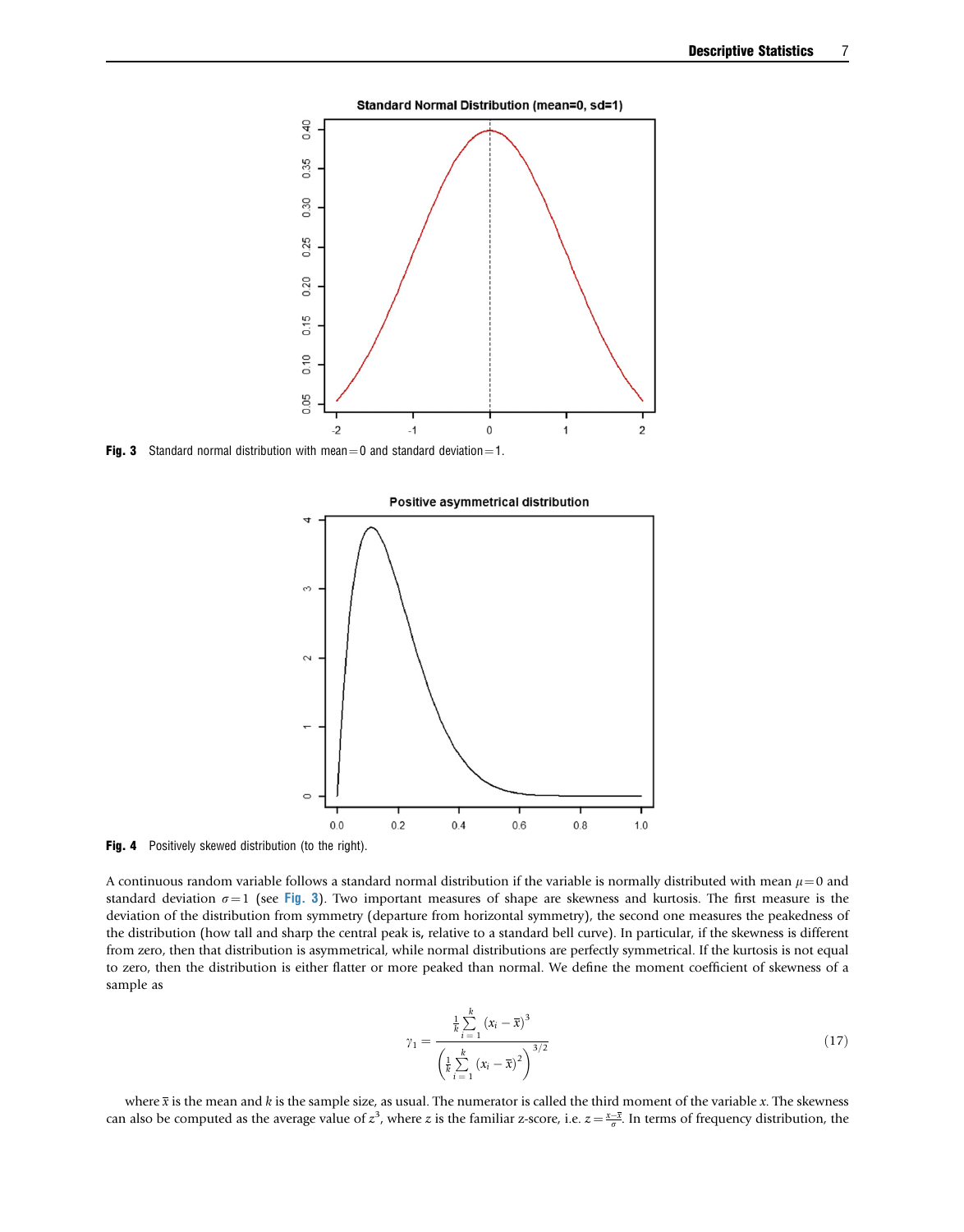<span id="page-6-0"></span>

Fig. 3 Standard normal distribution with mean  $=$  0 and standard deviation  $=$  1.



Fig. 4 Positively skewed distribution (to the right).

A continuous random variable follows a standard normal distribution if the variable is normally distributed with mean  $\mu$  = 0 and standard deviation  $\sigma = 1$  (see Fig. 3). Two important measures of shape are skewness and kurtosis. The first measure is the deviation of the distribution from symmetry (departure from horizontal symmetry), the second one measures the peakedness of the distribution (how tall and sharp the central peak is, relative to a standard bell curve). In particular, if the skewness is different from zero, then that distribution is asymmetrical, while normal distributions are perfectly symmetrical. If the kurtosis is not equal to zero, then the distribution is either flatter or more peaked than normal. We define the moment coefficient of skewness of a sample as

$$
\gamma_1 = \frac{\frac{1}{k} \sum_{i=1}^k (x_i - \bar{x})^3}{\left(\frac{1}{k} \sum_{i=1}^k (x_i - \bar{x})^2\right)^{3/2}}
$$
(17)

where  $\bar{x}$  is the mean and k is the sample size, as usual. The numerator is called the third moment of the variable x. The skewness can also be computed as the average value of  $z^3$ , where z is the familiar z-score, i.e.  $z = \frac{x - \bar{x}}{\sigma}$ . In terms of frequency distribution, the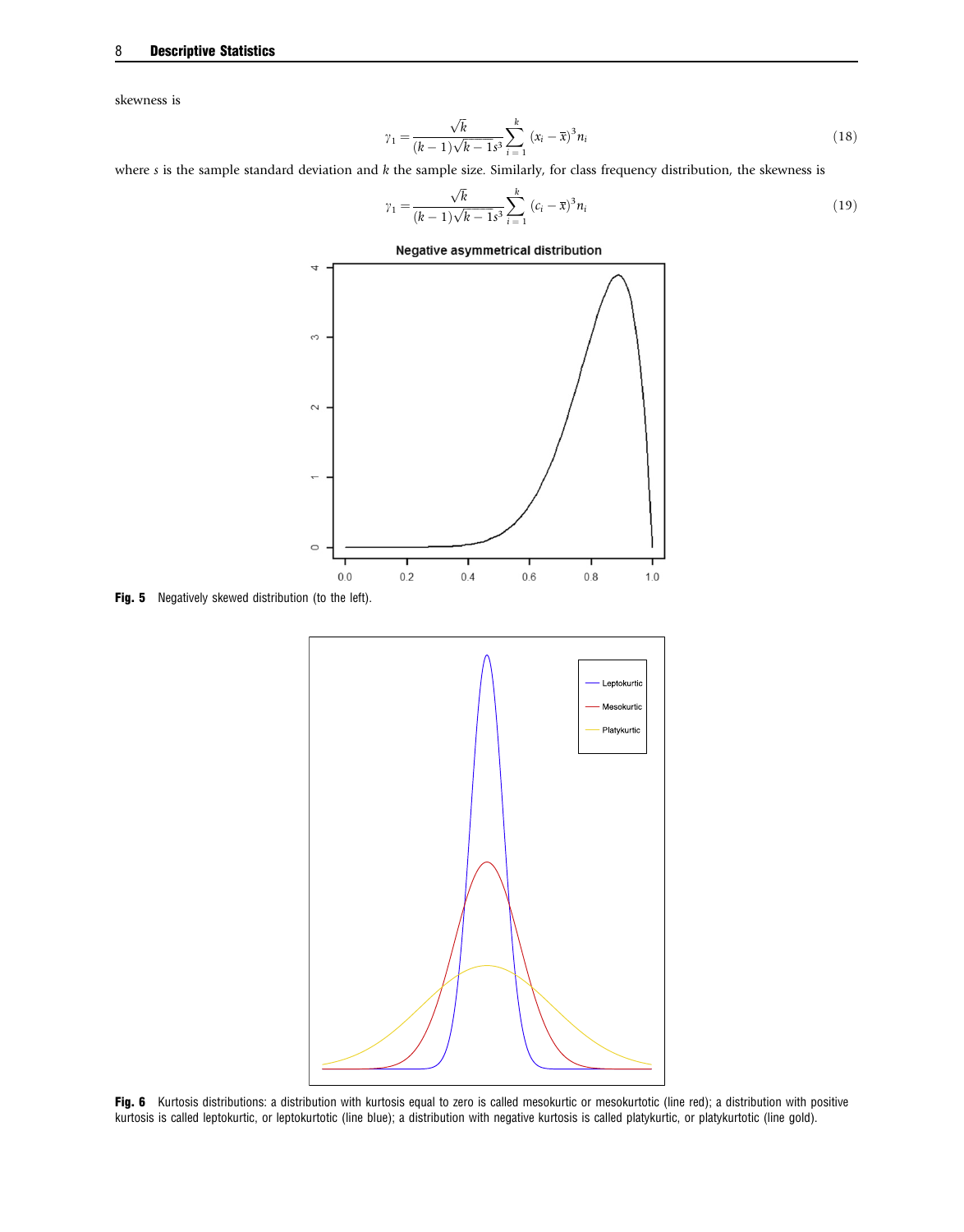<span id="page-7-0"></span>skewness is

$$
\gamma_1 = \frac{\sqrt{k}}{(k-1)\sqrt{k-1}s^3} \sum_{i=1}^k (x_i - \bar{x})^3 n_i
$$
\n(18)

where  $s$  is the sample standard deviation and  $k$  the sample size. Similarly, for class frequency distribution, the skewness is

$$
\gamma_1 = \frac{\sqrt{k}}{(k-1)\sqrt{k-1}s^3} \sum_{i=1}^k (c_i - \bar{x})^3 n_i
$$
\n(19)



Fig. 5 Negatively skewed distribution (to the left).



Fig. 6 Kurtosis distributions: a distribution with kurtosis equal to zero is called mesokurtic or mesokurtotic (line red); a distribution with positive kurtosis is called leptokurtic, or leptokurtotic (line blue); a distribution with negative kurtosis is called platykurtic, or platykurtotic (line gold).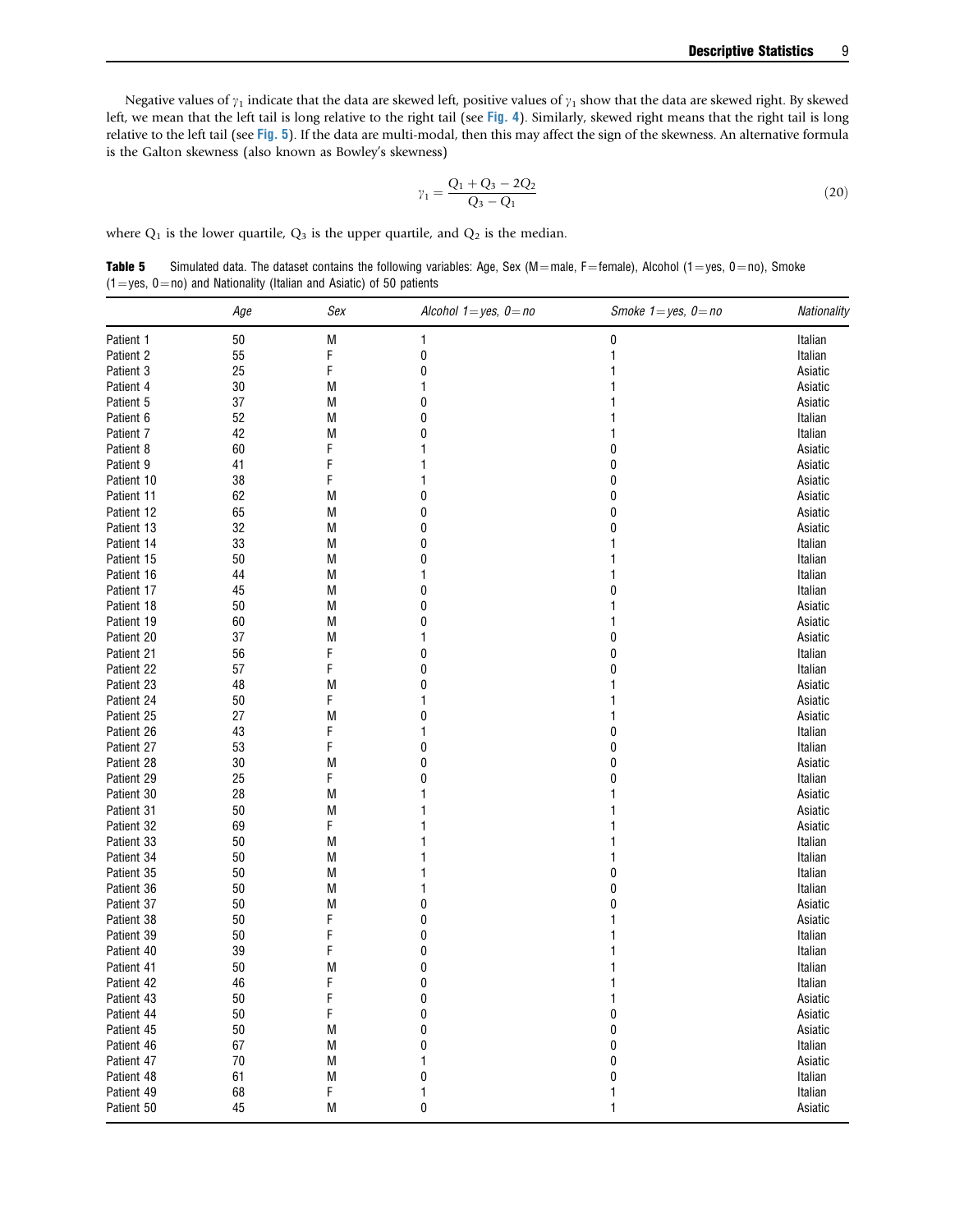<span id="page-8-0"></span>Negative values of  $\gamma_1$  indicate that the data are skewed left, positive values of  $\gamma_1$  show that the data are skewed right. By skewed left, we mean that the left tail is long relative to the right tail (see [Fig. 4](#page-6-0)). Similarly, skewed right means that the right tail is long relative to the left tail (see [Fig. 5](#page-7-0)). If the data are multi-modal, then this may affect the sign of the skewness. An alternative formula is the Galton skewness (also known as Bowley's skewness)

$$
\gamma_1 = \frac{Q_1 + Q_3 - 2Q_2}{Q_3 - Q_1} \tag{20}
$$

where  $Q_1$  is the lower quartile,  $Q_3$  is the upper quartile, and  $Q_2$  is the median.

**Table 5** Simulated data. The dataset contains the following variables: Age, Sex (M = male, F = female), Alcohol (1 = yes, 0 = no), Smoke (1=yes, 0=no) and Nationality (Italian and Asiatic) of 50 patients

|            | Age | Sex | Alcohol $1 = yes$ , $0 = no$ | Smoke $1 = yes$ , $0 = no$ | Nationality |
|------------|-----|-----|------------------------------|----------------------------|-------------|
| Patient 1  | 50  | M   | 1                            | 0                          | Italian     |
| Patient 2  | 55  | F   | 0                            | 1                          | Italian     |
| Patient 3  | 25  | F   | 0                            | 1                          | Asiatic     |
| Patient 4  | 30  | M   | 1                            | 1                          | Asiatic     |
| Patient 5  | 37  | M   | 0                            | 1                          | Asiatic     |
| Patient 6  | 52  | M   | 0                            | 1                          | Italian     |
| Patient 7  | 42  | M   | 0                            | 1                          | Italian     |
| Patient 8  | 60  | F   | 1                            | 0                          | Asiatic     |
| Patient 9  | 41  | F   | 1                            | 0                          | Asiatic     |
| Patient 10 | 38  | F   | 1                            | 0                          | Asiatic     |
| Patient 11 | 62  | M   | 0                            | 0                          | Asiatic     |
| Patient 12 | 65  | M   | 0                            | 0                          | Asiatic     |
| Patient 13 | 32  | M   | 0                            | 0                          | Asiatic     |
| Patient 14 | 33  | M   | 0                            | 1                          | Italian     |
| Patient 15 | 50  | M   | $\pmb{0}$                    | 1                          | Italian     |
| Patient 16 | 44  | M   | 1                            | 1                          | Italian     |
| Patient 17 | 45  | M   | 0                            | 0                          | Italian     |
| Patient 18 | 50  | M   | 0                            | 1                          | Asiatic     |
| Patient 19 | 60  | M   | 0                            | 1                          | Asiatic     |
| Patient 20 | 37  | M   | 1                            | 0                          | Asiatic     |
| Patient 21 | 56  | F   | 0                            | 0                          | Italian     |
| Patient 22 | 57  | F   | 0                            | 0                          | Italian     |
| Patient 23 | 48  | M   | 0                            | 1                          | Asiatic     |
| Patient 24 | 50  | F   | 1                            | 1                          | Asiatic     |
| Patient 25 | 27  | M   | $\pmb{0}$                    | 1                          | Asiatic     |
| Patient 26 | 43  | F   | 1                            | 0                          | Italian     |
| Patient 27 | 53  | F   | 0                            | 0                          | Italian     |
| Patient 28 | 30  | M   | 0                            | 0                          | Asiatic     |
| Patient 29 | 25  | F   | 0                            | 0                          | Italian     |
| Patient 30 | 28  | M   | 1                            | 1                          | Asiatic     |
| Patient 31 | 50  | M   | 1                            | 1                          | Asiatic     |
| Patient 32 | 69  | F   | 1                            | 1                          | Asiatic     |
| Patient 33 | 50  | M   | 1                            | 1                          | Italian     |
| Patient 34 | 50  | M   | 1                            | 1                          | Italian     |
| Patient 35 | 50  | M   | 1                            | 0                          | Italian     |
| Patient 36 | 50  | M   | 1                            | 0                          | Italian     |
| Patient 37 | 50  | M   | 0                            | 0                          | Asiatic     |
| Patient 38 | 50  | F   | 0                            | 1                          | Asiatic     |
| Patient 39 | 50  | F   | 0                            | 1                          | Italian     |
| Patient 40 | 39  | F   | 0                            | 1                          | Italian     |
| Patient 41 | 50  | M   | 0                            | 1                          | Italian     |
| Patient 42 | 46  | F   | $\pmb{0}$                    | 1                          | Italian     |
| Patient 43 | 50  | F   | 0                            | 1                          | Asiatic     |
| Patient 44 | 50  | F   | 0                            | 0                          | Asiatic     |
| Patient 45 | 50  | M   | 0                            | 0                          | Asiatic     |
| Patient 46 | 67  | M   | 0                            | 0                          | Italian     |
| Patient 47 | 70  | M   | 1                            | 0                          | Asiatic     |
| Patient 48 | 61  | M   | 0                            | 0                          | Italian     |
| Patient 49 | 68  | F   | 1                            | 1                          | Italian     |
| Patient 50 | 45  | M   | 0                            | 1                          | Asiatic     |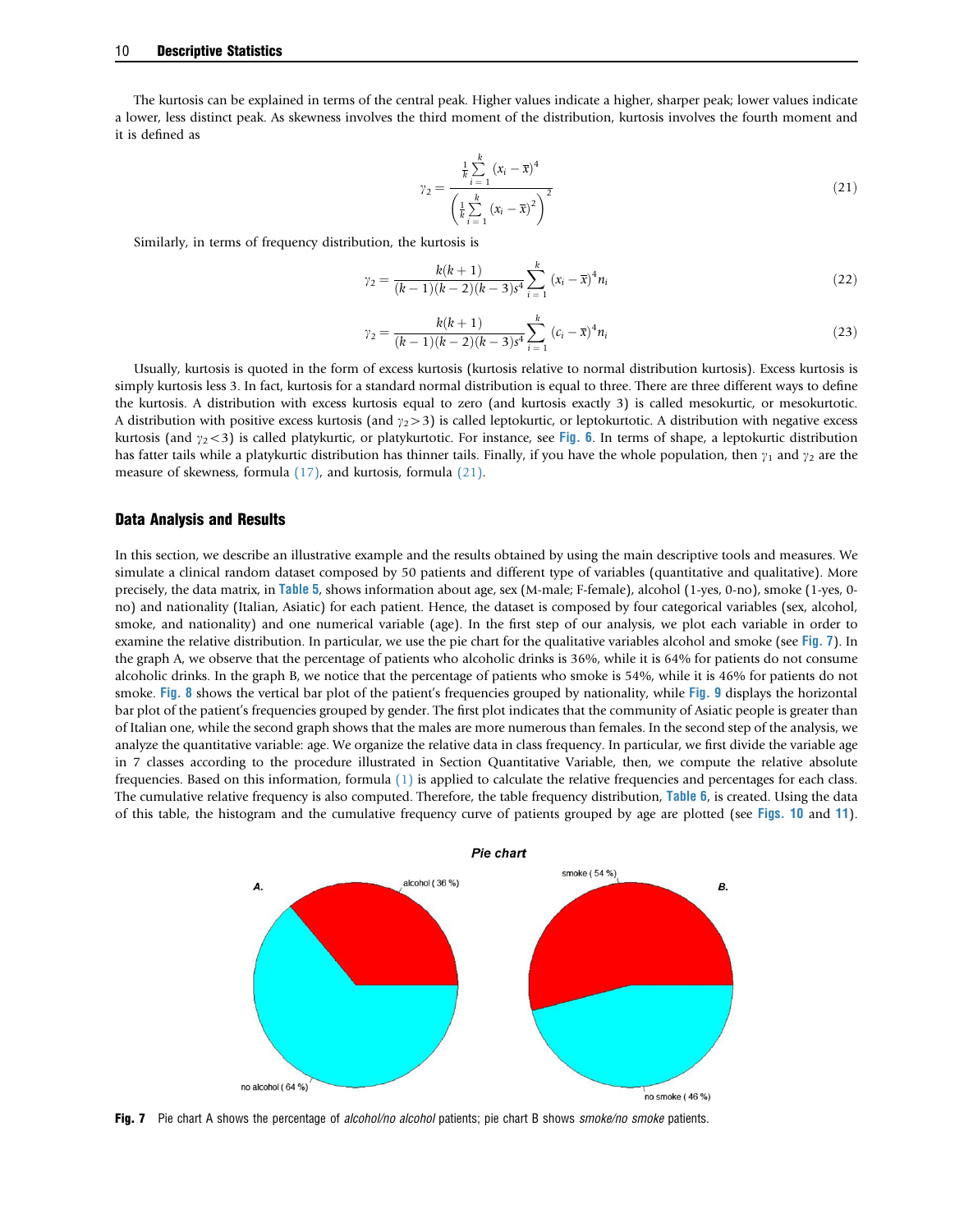The kurtosis can be explained in terms of the central peak. Higher values indicate a higher, sharper peak; lower values indicate a lower, less distinct peak. As skewness involves the third moment of the distribution, kurtosis involves the fourth moment and it is defined as

$$
\gamma_2 = \frac{\frac{1}{k} \sum_{i=1}^k (x_i - \bar{x})^4}{\left(\frac{1}{k} \sum_{i=1}^k (x_i - \bar{x})^2\right)^2}
$$
(21)

Similarly, in terms of frequency distribution, the kurtosis is

$$
\gamma_2 = \frac{k(k+1)}{(k-1)(k-2)(k-3)s^4} \sum_{i=1}^k (x_i - \overline{x})^4 n_i
$$
\n(22)

$$
\gamma_2 = \frac{k(k+1)}{(k-1)(k-2)(k-3)s^4} \sum_{i=1}^k (c_i - \bar{x})^4 n_i
$$
\n(23)

Usually, kurtosis is quoted in the form of excess kurtosis (kurtosis relative to normal distribution kurtosis). Excess kurtosis is simply kurtosis less 3. In fact, kurtosis for a standard normal distribution is equal to three. There are three different ways to define the kurtosis. A distribution with excess kurtosis equal to zero (and kurtosis exactly 3) is called mesokurtic, or mesokurtotic. A distribution with positive excess kurtosis (and  $\gamma_2$  > 3) is called leptokurtic, or leptokurtotic. A distribution with negative excess kurtosis (and  $\gamma_2$ <3) is called platykurtic, or platykurtotic. For instance, see [Fig. 6](#page-7-0). In terms of shape, a leptokurtic distribution has fatter tails while a platykurtic distribution has thinner tails. Finally, if you have the whole population, then  $\gamma_1$  and  $\gamma_2$  are the measure of skewness, formula [\(17\)](#page-6-0), and kurtosis, formula (21).

#### Data Analysis and Results

In this section, we describe an illustrative example and the results obtained by using the main descriptive tools and measures. We simulate a clinical random dataset composed by 50 patients and different type of variables (quantitative and qualitative). More precisely, the data matrix, in [Table 5](#page-8-0), shows information about age, sex (M-male; F-female), alcohol (1-yes, 0-no), smoke (1-yes, 0no) and nationality (Italian, Asiatic) for each patient. Hence, the dataset is composed by four categorical variables (sex, alcohol, smoke, and nationality) and one numerical variable (age). In the first step of our analysis, we plot each variable in order to examine the relative distribution. In particular, we use the pie chart for the qualitative variables alcohol and smoke (see Fig. 7). In the graph A, we observe that the percentage of patients who alcoholic drinks is 36%, while it is 64% for patients do not consume alcoholic drinks. In the graph B, we notice that the percentage of patients who smoke is 54%, while it is 46% for patients do not smoke. [Fig. 8](#page-10-0) shows the vertical bar plot of the patient's frequencies grouped by nationality, while [Fig. 9](#page-10-0) displays the horizontal bar plot of the patient's frequencies grouped by gender. The first plot indicates that the community of Asiatic people is greater than of Italian one, while the second graph shows that the males are more numerous than females. In the second step of the analysis, we analyze the quantitative variable: age. We organize the relative data in class frequency. In particular, we first divide the variable age in 7 classes according to the procedure illustrated in [Section Quantitative Variable](#page-2-0), then, we compute the relative absolute frequencies. Based on this information, formula [\(1\)](#page-1-0) is applied to calculate the relative frequencies and percentages for each class. The cumulative relative frequency is also computed. Therefore, the table frequency distribution, [Table 6](#page-11-0), is created. Using the data of this table, the histogram and the cumulative frequency curve of patients grouped by age are plotted (see [Figs. 10](#page-11-0) and [11](#page-11-0)).



Fig. 7 Pie chart A shows the percentage of alcohol/no alcohol patients; pie chart B shows smoke/no smoke patients.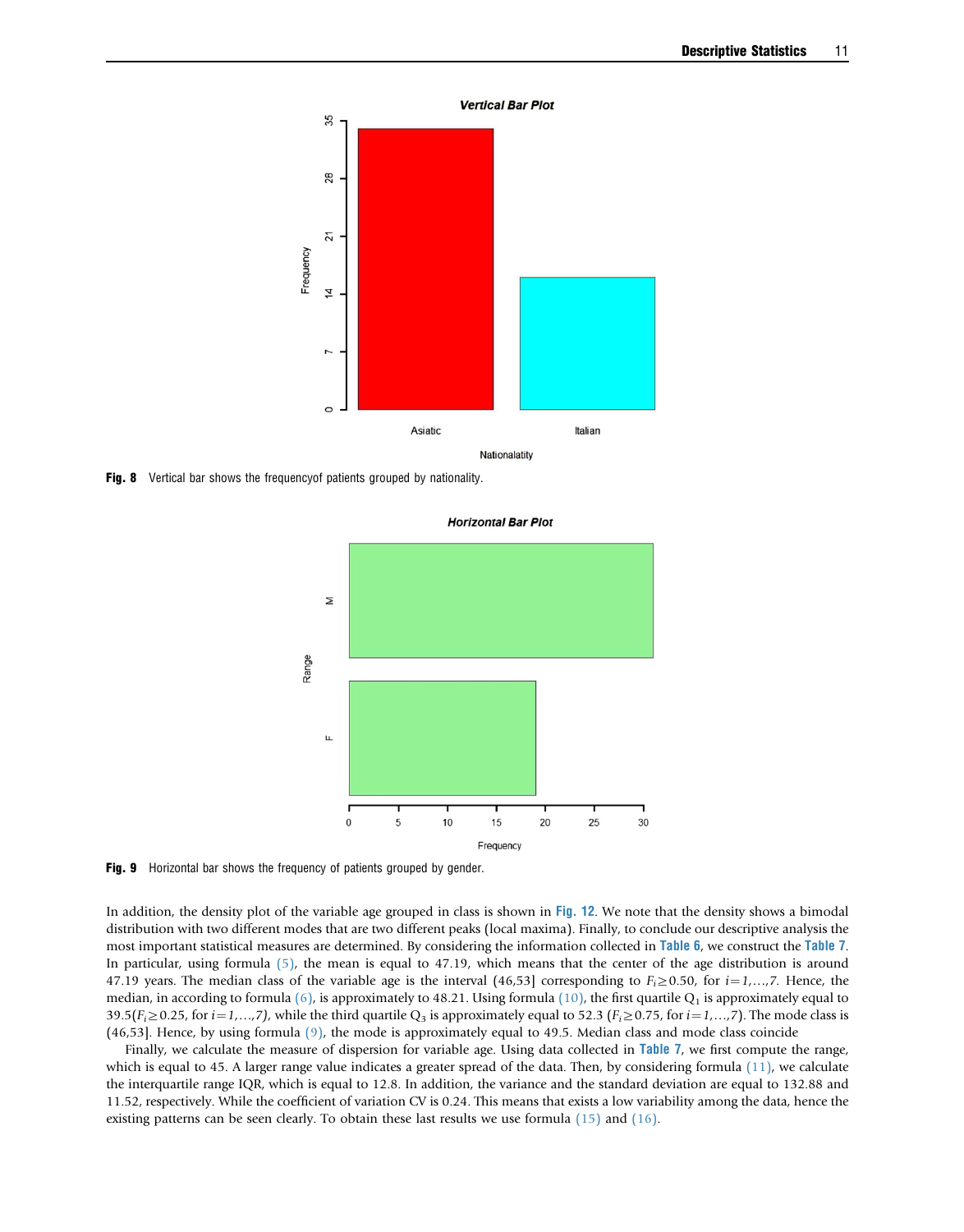<span id="page-10-0"></span>

Fig. 8 Vertical bar shows the frequency of patients grouped by nationality.



**Horizontal Bar Plot** 

Fig. 9 Horizontal bar shows the frequency of patients grouped by gender.

In addition, the density plot of the variable age grouped in class is shown in [Fig. 12](#page-12-0). We note that the density shows a bimodal distribution with two different modes that are two different peaks (local maxima). Finally, to conclude our descriptive analysis the most important statistical measures are determined. By considering the information collected in [Table 6](#page-11-0), we construct the [Table 7](#page-12-0). In particular, using formula [\(5\)](#page-3-0), the mean is equal to 47.19, which means that the center of the age distribution is around 47.19 years. The median class of the variable age is the interval (46,53) corresponding to  $F_i \ge 0.50$ , for  $i = 1,...,7$ . Hence, the median, in according to formula  $(6)$ , is approximately to 48.21. Using formula [\(10\),](#page-4-0) the first quartile  $Q_1$  is approximately equal to 39.5( $F_i \ge 0.25$ , for  $i = 1,...,7$ ), while the third quartile  $Q_3$  is approximately equal to 52.3 ( $F_i \ge 0.75$ , for  $i = 1,...,7$ ). The mode class is (46,53]. Hence, by using formula [\(9\)](#page-4-0), the mode is approximately equal to 49.5. Median class and mode class coincide

Finally, we calculate the measure of dispersion for variable age. Using data collected in [Table 7](#page-12-0), we first compute the range, which is equal to 45. A larger range value indicates a greater spread of the data. Then, by considering formula [\(11\)](#page-4-0), we calculate the interquartile range IQR, which is equal to 12.8. In addition, the variance and the standard deviation are equal to 132.88 and 11.52, respectively. While the coefficient of variation CV is 0.24. This means that exists a low variability among the data, hence the existing patterns can be seen clearly. To obtain these last results we use formula [\(15\)](#page-5-0) and [\(16\)](#page-5-0).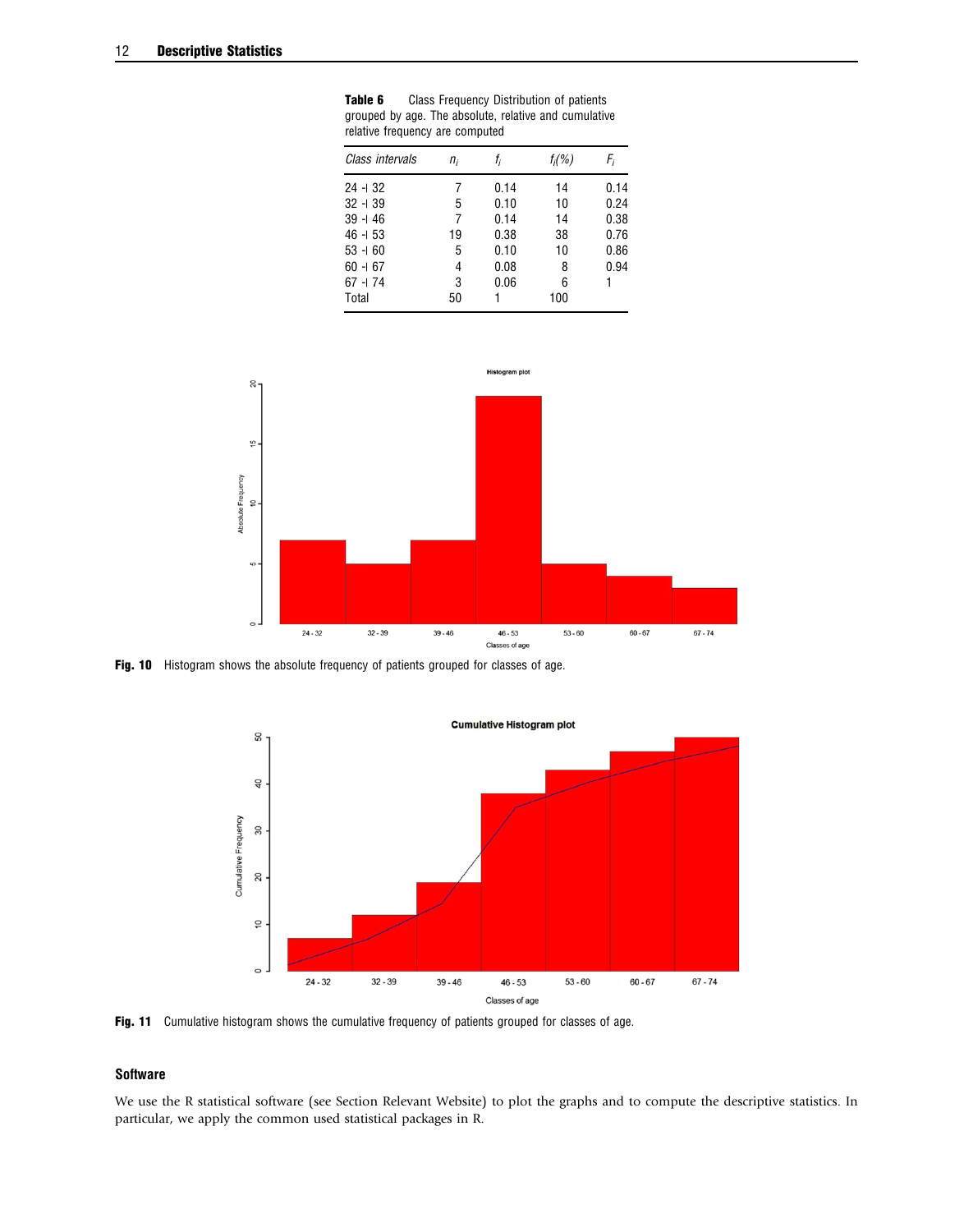<span id="page-11-0"></span>

| Class intervals | $n_i$ | f,   | $f_i(\%)$ | Fi   |
|-----------------|-------|------|-----------|------|
| $24 - 32$       |       | 0.14 | 14        | 0.14 |
| $32 - 39$       | 5     | 0.10 | 10        | 0.24 |
| $39 - 46$       | 7     | 0.14 | 14        | 0.38 |
| $46 - 53$       | 19    | 0.38 | 38        | 0.76 |
| $53 - 60$       | 5     | 0.10 | 10        | 0.86 |
| $60 - 67$       | 4     | 0.08 | 8         | 0.94 |
| $67 - 74$       | 3     | 0.06 | 6         |      |
| Total           | 50    |      | 100       |      |



Fig. 10 Histogram shows the absolute frequency of patients grouped for classes of age.



Fig. 11 Cumulative histogram shows the cumulative frequency of patients grouped for classes of age.

# **Software**

We use the R statistical software (see Section Relevant Website) to plot the graphs and to compute the descriptive statistics. In particular, we apply the common used statistical packages in R.